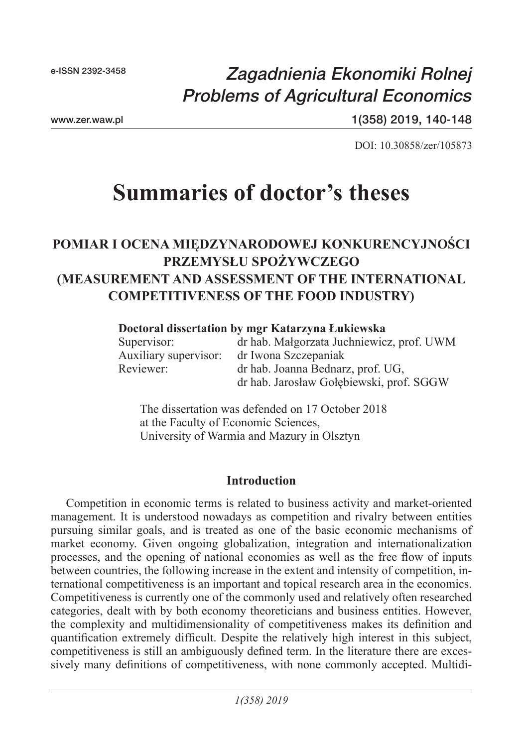## *Zagadnienia Ekonomiki Rolnej Problems of Agricultural Economics*

www.zer.waw.pl

1(358) 2019, 140-148

DOI: 10.30858/zer/105873

# **Summaries of doctor's theses**

## **POMIAR I OCENA MIĘDZYNARODOWEJ KONKURENCYJNOŚCI PRZEMYSŁU SPOŻYWCZEGO (MEASUREMENT AND ASSESSMENT OF THE INTERNATIONAL COMPETITIVENESS OF THE FOOD INDUSTRY)**

#### **Doctoral dissertation by mgr Katarzyna Łukiewska**

| Supervisor:           | dr hab. Małgorzata Juchniewicz, prof. UWM |
|-----------------------|-------------------------------------------|
| Auxiliary supervisor: | dr Iwona Szczepaniak                      |
| Reviewer:             | dr hab. Joanna Bednarz, prof. UG,         |
|                       | dr hab. Jarosław Gołębiewski, prof. SGGW  |

The dissertation was defended on 17 October 2018 at the Faculty of Economic Sciences, University of Warmia and Mazury in Olsztyn

#### **Introduction**

Competition in economic terms is related to business activity and market-oriented management. It is understood nowadays as competition and rivalry between entities pursuing similar goals, and is treated as one of the basic economic mechanisms of market economy. Given ongoing globalization, integration and internationalization processes, and the opening of national economies as well as the free flow of inputs between countries, the following increase in the extent and intensity of competition, international competitiveness is an important and topical research area in the economics. Competitiveness is currently one of the commonly used and relatively often researched categories, dealt with by both economy theoreticians and business entities. However, the complexity and multidimensionality of competitiveness makes its definition and quantification extremely difficult. Despite the relatively high interest in this subject, competitiveness is still an ambiguously defined term. In the literature there are excessively many definitions of competitiveness, with none commonly accepted. Multidi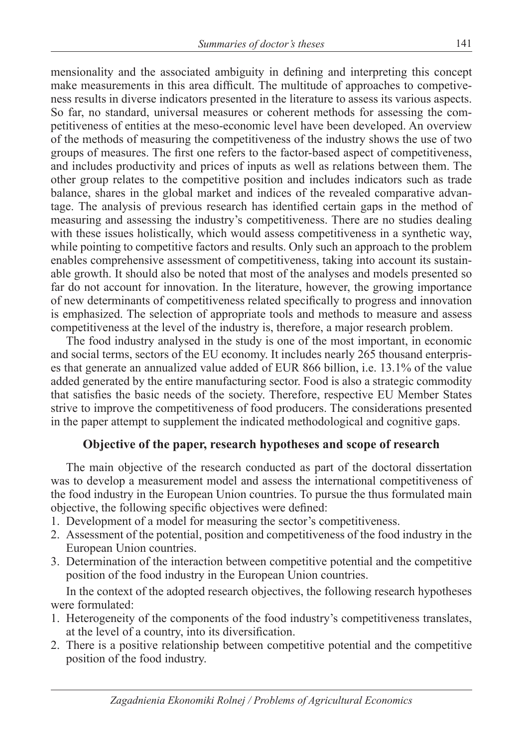mensionality and the associated ambiguity in defining and interpreting this concept make measurements in this area difficult. The multitude of approaches to competiveness results in diverse indicators presented in the literature to assess its various aspects. So far, no standard, universal measures or coherent methods for assessing the competitiveness of entities at the meso-economic level have been developed. An overview of the methods of measuring the competitiveness of the industry shows the use of two groups of measures. The first one refers to the factor-based aspect of competitiveness, and includes productivity and prices of inputs as well as relations between them. The other group relates to the competitive position and includes indicators such as trade balance, shares in the global market and indices of the revealed comparative advantage. The analysis of previous research has identified certain gaps in the method of measuring and assessing the industry's competitiveness. There are no studies dealing with these issues holistically, which would assess competitiveness in a synthetic way, while pointing to competitive factors and results. Only such an approach to the problem enables comprehensive assessment of competitiveness, taking into account its sustainable growth. It should also be noted that most of the analyses and models presented so far do not account for innovation. In the literature, however, the growing importance of new determinants of competitiveness related specifically to progress and innovation is emphasized. The selection of appropriate tools and methods to measure and assess competitiveness at the level of the industry is, therefore, a major research problem.

The food industry analysed in the study is one of the most important, in economic and social terms, sectors of the EU economy. It includes nearly 265 thousand enterprises that generate an annualized value added of EUR 866 billion, i.e. 13.1% of the value added generated by the entire manufacturing sector. Food is also a strategic commodity that satisfies the basic needs of the society. Therefore, respective EU Member States strive to improve the competitiveness of food producers. The considerations presented in the paper attempt to supplement the indicated methodological and cognitive gaps.

### **Objective of the paper, research hypotheses and scope of research**

The main objective of the research conducted as part of the doctoral dissertation was to develop a measurement model and assess the international competitiveness of the food industry in the European Union countries. To pursue the thus formulated main objective, the following specific objectives were defined:

- 1. Development of a model for measuring the sector's competitiveness.
- 2. Assessment of the potential, position and competitiveness of the food industry in the European Union countries.
- 3. Determination of the interaction between competitive potential and the competitive position of the food industry in the European Union countries.

In the context of the adopted research objectives, the following research hypotheses were formulated:

- 1. Heterogeneity of the components of the food industry's competitiveness translates, at the level of a country, into its diversification.
- 2. There is a positive relationship between competitive potential and the competitive position of the food industry.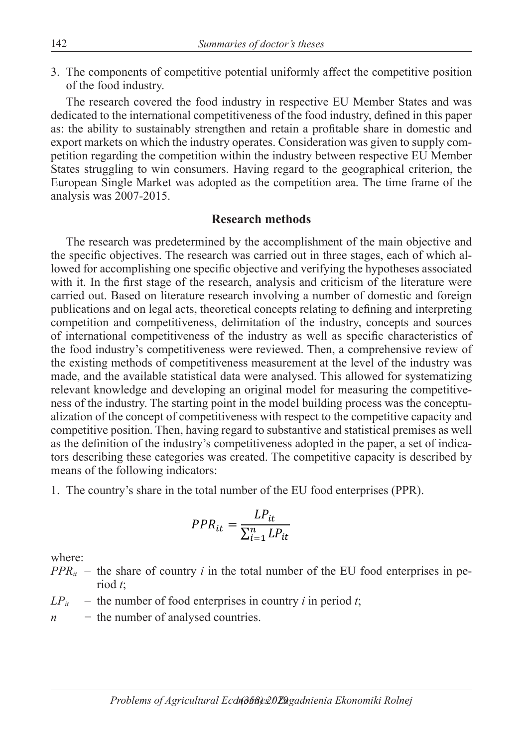3. The components of competitive potential uniformly affect the competitive position of the food industry.

The research covered the food industry in respective EU Member States and was dedicated to the international competitiveness of the food industry, defined in this paper as: the ability to sustainably strengthen and retain a profitable share in domestic and export markets on which the industry operates. Consideration was given to supply competition regarding the competition within the industry between respective EU Member States struggling to win consumers. Having regard to the geographical criterion, the European Single Market was adopted as the competition area. The time frame of the analysis was 2007-2015.

#### **Research methods**

The research was predetermined by the accomplishment of the main objective and the specific objectives. The research was carried out in three stages, each of which allowed for accomplishing one specific objective and verifying the hypotheses associated with it. In the first stage of the research, analysis and criticism of the literature were carried out. Based on literature research involving a number of domestic and foreign publications and on legal acts, theoretical concepts relating to defining and interpreting competition and competitiveness, delimitation of the industry, concepts and sources of international competitiveness of the industry as well as specific characteristics of the food industry's competitiveness were reviewed. Then, a comprehensive review of the existing methods of competitiveness measurement at the level of the industry was made, and the available statistical data were analysed. This allowed for systematizing relevant knowledge and developing an original model for measuring the competitiveness of the industry. The starting point in the model building process was the conceptualization of the concept of competitiveness with respect to the competitive capacity and competitive position. Then, having regard to substantive and statistical premises as well as the definition of the industry's competitiveness adopted in the paper, a set of indicators describing these categories was created. The competitive capacity is described by means of the following indicators:

1. The country's share in the total number of the EU food enterprises (PPR).

$$
PPR_{it} = \frac{LP_{it}}{\sum_{i=1}^{n} LP_{it}}
$$

where:

- $PPR_{it}$  the share of country *i* in the total number of the EU food enterprises in period *t*;
- $LP_{it}$  the number of food enterprises in country *i* in period *t*;
- *n* − the number of analysed countries.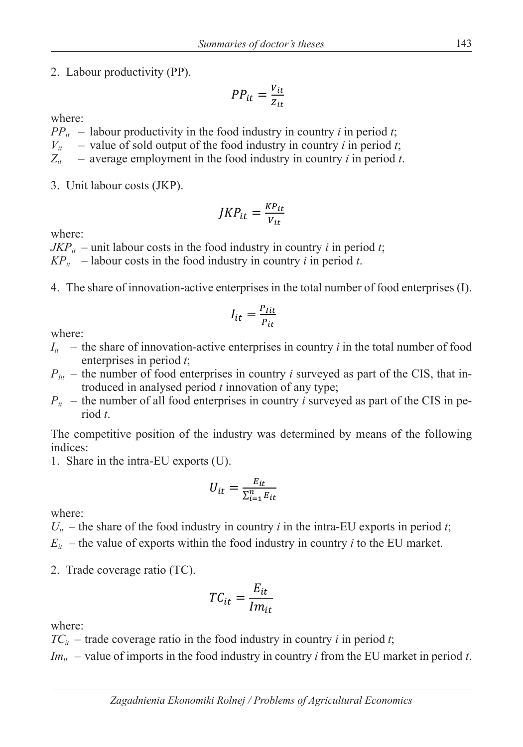2. Labour productivity (PP).

$$
PP_{it} = \frac{v_{it}}{z_{it}}
$$

where:

 $PP_{it}$  – labour productivity in the food industry in country *i* in period *t*;  $V_{it}$  – value of sold output of the food industry in country *i* in period *t*;  $Z_{it}$  – average employment in the food industry in country *i* in period *t*.

3. Unit labour costs (JKP).

$$
JKP_{it} = \frac{KP_{it}}{V_{it}}
$$

where:

 $JKP_{it}$  – unit labour costs in the food industry in country *i* in period *t*;

 $KP_{it}$  – labour costs in the food industry in country *i* in period *t*.

4. The share of innovation-active enterprises in the total number of food enterprises (I).

$$
I_{it} = \frac{P_{lit}}{P_{it}}
$$

where:

- $I_{it}$  the share of innovation-active enterprises in country *i* in the total number of food enterprises in period *t*;
- $P_{\mu}$  the number of food enterprises in country *i* surveyed as part of the CIS, that introduced in analysed period *t* innovation of any type;
- $P_{it}$  the number of all food enterprises in country *i* surveyed as part of the CIS in period *t*.

The competitive position of the industry was determined by means of the following indices:

1. Share in the intra-EU exports (U).

$$
U_{it} = \frac{E_{it}}{\sum_{i=1}^{n} E_{it}}
$$

where:

 $U_{it}$  – the share of the food industry in country *i* in the intra-EU exports in period *t*;

- $E_{it}$  the value of exports within the food industry in country *i* to the EU market.
- 2. Trade coverage ratio (TC).

$$
TC_{it} = \frac{E_{it}}{Im_{it}}
$$

where:

 $TC_{it}$  – trade coverage ratio in the food industry in country *i* in period *t*;

 $Im_{it}$  – value of imports in the food industry in country *i* from the EU market in period *t*.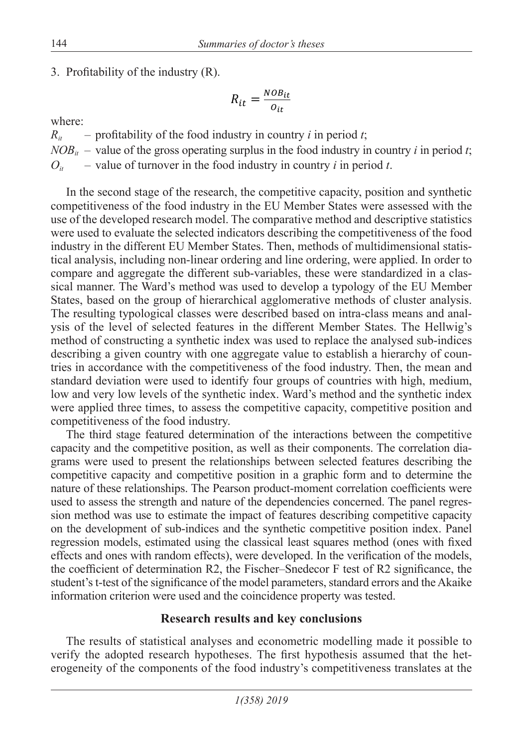3. Profitability of the industry  $(R)$ .

$$
R_{it} = \frac{NOB_{it}}{O_{it}}
$$

where:

 $R_{it}$  – profitability of the food industry in country *i* in period *t*;  $NOB_{it}$  – value of the gross operating surplus in the food industry in country *i* in period *t*;  $O_{it}$  – value of turnover in the food industry in country *i* in period *t*.

In the second stage of the research, the competitive capacity, position and synthetic competitiveness of the food industry in the EU Member States were assessed with the use of the developed research model. The comparative method and descriptive statistics were used to evaluate the selected indicators describing the competitiveness of the food industry in the different EU Member States. Then, methods of multidimensional statistical analysis, including non-linear ordering and line ordering, were applied. In order to compare and aggregate the different sub-variables, these were standardized in a classical manner. The Ward's method was used to develop a typology of the EU Member States, based on the group of hierarchical agglomerative methods of cluster analysis. The resulting typological classes were described based on intra-class means and analysis of the level of selected features in the different Member States. The Hellwig's method of constructing a synthetic index was used to replace the analysed sub-indices describing a given country with one aggregate value to establish a hierarchy of countries in accordance with the competitiveness of the food industry. Then, the mean and standard deviation were used to identify four groups of countries with high, medium, low and very low levels of the synthetic index. Ward's method and the synthetic index were applied three times, to assess the competitive capacity, competitive position and competitiveness of the food industry.

The third stage featured determination of the interactions between the competitive capacity and the competitive position, as well as their components. The correlation diagrams were used to present the relationships between selected features describing the competitive capacity and competitive position in a graphic form and to determine the nature of these relationships. The Pearson product-moment correlation coefficients were used to assess the strength and nature of the dependencies concerned. The panel regression method was use to estimate the impact of features describing competitive capacity on the development of sub-indices and the synthetic competitive position index. Panel regression models, estimated using the classical least squares method (ones with fixed effects and ones with random effects), were developed. In the verification of the models, the coefficient of determination R2, the Fischer–Snedecor F test of R2 significance, the student's t-test of the significance of the model parameters, standard errors and the Akaike information criterion were used and the coincidence property was tested.

## **Research results and key conclusions**

The results of statistical analyses and econometric modelling made it possible to verify the adopted research hypotheses. The first hypothesis assumed that the heterogeneity of the components of the food industry's competitiveness translates at the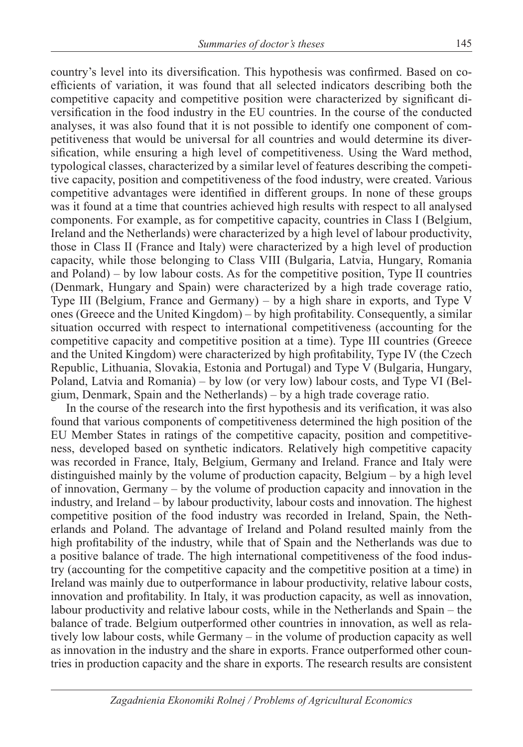country's level into its diversification. This hypothesis was confirmed. Based on coefficients of variation, it was found that all selected indicators describing both the competitive capacity and competitive position were characterized by significant diversification in the food industry in the EU countries. In the course of the conducted analyses, it was also found that it is not possible to identify one component of competitiveness that would be universal for all countries and would determine its diversification, while ensuring a high level of competitiveness. Using the Ward method, typological classes, characterized by a similar level of features describing the competitive capacity, position and competitiveness of the food industry, were created. Various competitive advantages were identified in different groups. In none of these groups was it found at a time that countries achieved high results with respect to all analysed components. For example, as for competitive capacity, countries in Class I (Belgium, Ireland and the Netherlands) were characterized by a high level of labour productivity, those in Class II (France and Italy) were characterized by a high level of production capacity, while those belonging to Class VIII (Bulgaria, Latvia, Hungary, Romania and Poland) – by low labour costs. As for the competitive position, Type II countries (Denmark, Hungary and Spain) were characterized by a high trade coverage ratio, Type III (Belgium, France and Germany) – by a high share in exports, and Type V ones (Greece and the United Kingdom) – by high profitability. Consequently, a similar situation occurred with respect to international competitiveness (accounting for the competitive capacity and competitive position at a time). Type III countries (Greece and the United Kingdom) were characterized by high profitability, Type IV (the Czech Republic, Lithuania, Slovakia, Estonia and Portugal) and Type V (Bulgaria, Hungary, Poland, Latvia and Romania) – by low (or very low) labour costs, and Type VI (Belgium, Denmark, Spain and the Netherlands) – by a high trade coverage ratio.

In the course of the research into the first hypothesis and its verification, it was also found that various components of competitiveness determined the high position of the EU Member States in ratings of the competitive capacity, position and competitiveness, developed based on synthetic indicators. Relatively high competitive capacity was recorded in France, Italy, Belgium, Germany and Ireland. France and Italy were distinguished mainly by the volume of production capacity, Belgium – by a high level of innovation, Germany – by the volume of production capacity and innovation in the industry, and Ireland – by labour productivity, labour costs and innovation. The highest competitive position of the food industry was recorded in Ireland, Spain, the Netherlands and Poland. The advantage of Ireland and Poland resulted mainly from the high profitability of the industry, while that of Spain and the Netherlands was due to a positive balance of trade. The high international competitiveness of the food industry (accounting for the competitive capacity and the competitive position at a time) in Ireland was mainly due to outperformance in labour productivity, relative labour costs, innovation and profitability. In Italy, it was production capacity, as well as innovation, labour productivity and relative labour costs, while in the Netherlands and Spain – the balance of trade. Belgium outperformed other countries in innovation, as well as relatively low labour costs, while Germany – in the volume of production capacity as well as innovation in the industry and the share in exports. France outperformed other countries in production capacity and the share in exports. The research results are consistent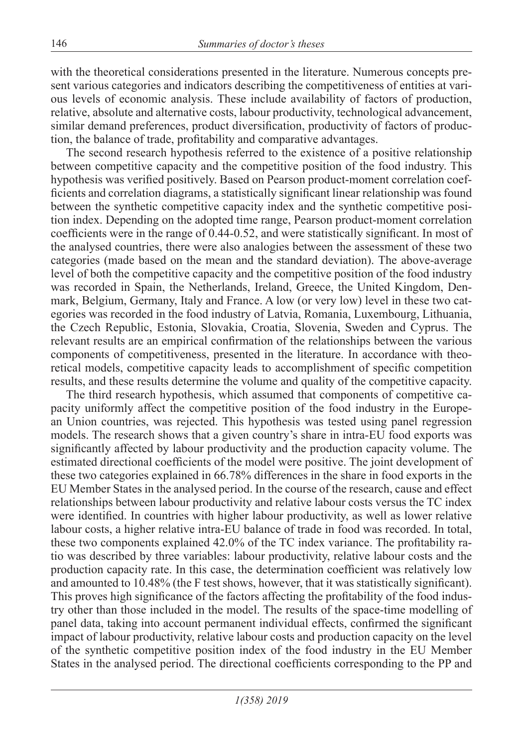with the theoretical considerations presented in the literature. Numerous concepts present various categories and indicators describing the competitiveness of entities at various levels of economic analysis. These include availability of factors of production, relative, absolute and alternative costs, labour productivity, technological advancement, similar demand preferences, product diversification, productivity of factors of production, the balance of trade, profitability and comparative advantages.

The second research hypothesis referred to the existence of a positive relationship between competitive capacity and the competitive position of the food industry. This hypothesis was verified positively. Based on Pearson product-moment correlation coefficients and correlation diagrams, a statistically significant linear relationship was found between the synthetic competitive capacity index and the synthetic competitive position index. Depending on the adopted time range, Pearson product-moment correlation coefficients were in the range of 0.44-0.52, and were statistically significant. In most of the analysed countries, there were also analogies between the assessment of these two categories (made based on the mean and the standard deviation). The above-average level of both the competitive capacity and the competitive position of the food industry was recorded in Spain, the Netherlands, Ireland, Greece, the United Kingdom, Denmark, Belgium, Germany, Italy and France. A low (or very low) level in these two categories was recorded in the food industry of Latvia, Romania, Luxembourg, Lithuania, the Czech Republic, Estonia, Slovakia, Croatia, Slovenia, Sweden and Cyprus. The relevant results are an empirical confirmation of the relationships between the various components of competitiveness, presented in the literature. In accordance with theoretical models, competitive capacity leads to accomplishment of specific competition results, and these results determine the volume and quality of the competitive capacity.

The third research hypothesis, which assumed that components of competitive capacity uniformly affect the competitive position of the food industry in the European Union countries, was rejected. This hypothesis was tested using panel regression models. The research shows that a given country's share in intra-EU food exports was significantly affected by labour productivity and the production capacity volume. The estimated directional coefficients of the model were positive. The joint development of these two categories explained in 66.78% differences in the share in food exports in the EU Member States in the analysed period. In the course of the research, cause and effect relationships between labour productivity and relative labour costs versus the TC index were identified. In countries with higher labour productivity, as well as lower relative labour costs, a higher relative intra-EU balance of trade in food was recorded. In total, these two components explained 42.0% of the TC index variance. The profitability ratio was described by three variables: labour productivity, relative labour costs and the production capacity rate. In this case, the determination coefficient was relatively low and amounted to 10.48% (the F test shows, however, that it was statistically significant). This proves high significance of the factors affecting the profitability of the food industry other than those included in the model. The results of the space-time modelling of panel data, taking into account permanent individual effects, confirmed the significant impact of labour productivity, relative labour costs and production capacity on the level of the synthetic competitive position index of the food industry in the EU Member States in the analysed period. The directional coefficients corresponding to the PP and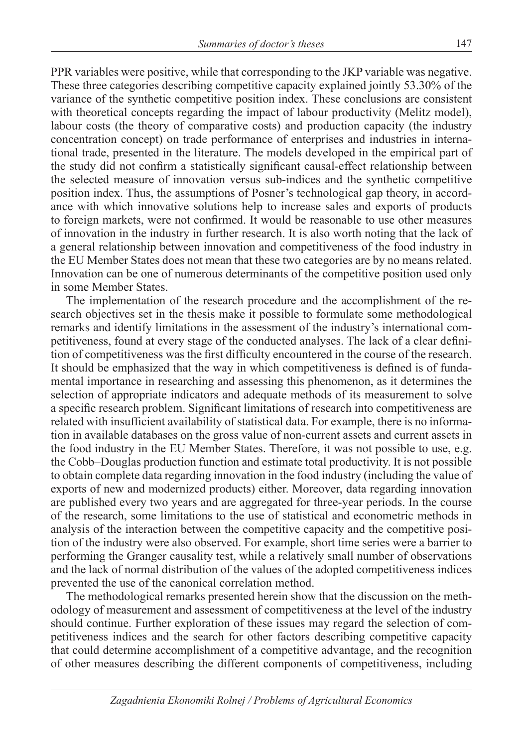PPR variables were positive, while that corresponding to the JKP variable was negative. These three categories describing competitive capacity explained jointly 53.30% of the variance of the synthetic competitive position index. These conclusions are consistent with theoretical concepts regarding the impact of labour productivity (Melitz model), labour costs (the theory of comparative costs) and production capacity (the industry concentration concept) on trade performance of enterprises and industries in international trade, presented in the literature. The models developed in the empirical part of the study did not confirm a statistically significant causal-effect relationship between the selected measure of innovation versus sub-indices and the synthetic competitive position index. Thus, the assumptions of Posner's technological gap theory, in accordance with which innovative solutions help to increase sales and exports of products to foreign markets, were not confirmed. It would be reasonable to use other measures of innovation in the industry in further research. It is also worth noting that the lack of a general relationship between innovation and competitiveness of the food industry in the EU Member States does not mean that these two categories are by no means related. Innovation can be one of numerous determinants of the competitive position used only in some Member States.

The implementation of the research procedure and the accomplishment of the research objectives set in the thesis make it possible to formulate some methodological remarks and identify limitations in the assessment of the industry's international competitiveness, found at every stage of the conducted analyses. The lack of a clear definition of competitiveness was the first difficulty encountered in the course of the research. It should be emphasized that the way in which competitiveness is defined is of fundamental importance in researching and assessing this phenomenon, as it determines the selection of appropriate indicators and adequate methods of its measurement to solve a specific research problem. Significant limitations of research into competitiveness are related with insufficient availability of statistical data. For example, there is no information in available databases on the gross value of non-current assets and current assets in the food industry in the EU Member States. Therefore, it was not possible to use, e.g. the Cobb–Douglas production function and estimate total productivity. It is not possible to obtain complete data regarding innovation in the food industry (including the value of exports of new and modernized products) either. Moreover, data regarding innovation are published every two years and are aggregated for three-year periods. In the course of the research, some limitations to the use of statistical and econometric methods in analysis of the interaction between the competitive capacity and the competitive position of the industry were also observed. For example, short time series were a barrier to performing the Granger causality test, while a relatively small number of observations and the lack of normal distribution of the values of the adopted competitiveness indices prevented the use of the canonical correlation method.

The methodological remarks presented herein show that the discussion on the methodology of measurement and assessment of competitiveness at the level of the industry should continue. Further exploration of these issues may regard the selection of competitiveness indices and the search for other factors describing competitive capacity that could determine accomplishment of a competitive advantage, and the recognition of other measures describing the different components of competitiveness, including